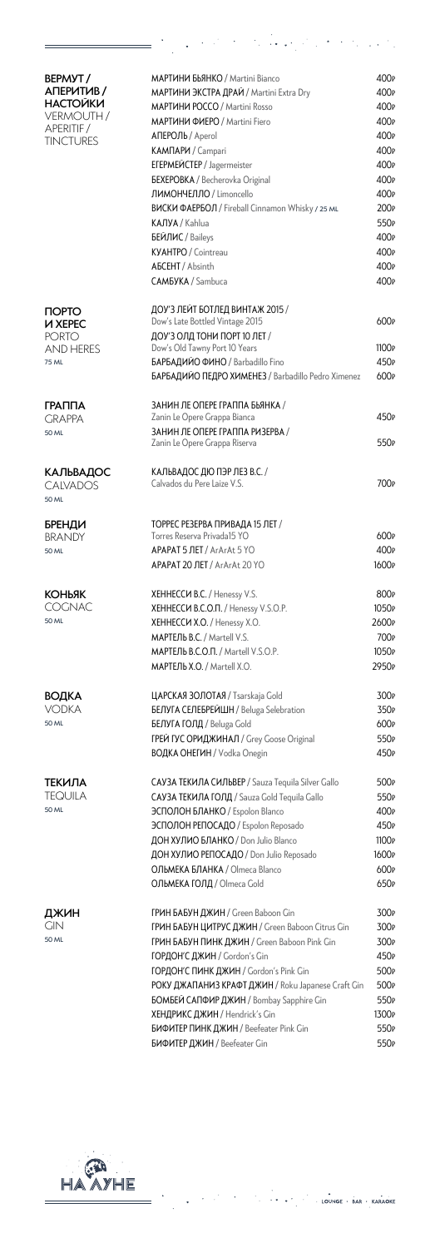| ГРИН БАБУН ПИНК ДЖИН / Green Baboon Pink Gin       | 300 <sub>P</sub> |
|----------------------------------------------------|------------------|
| ГОРДОН'С ДЖИН / Gordon's Gin                       | 450 <sub>P</sub> |
| ГОРДОН'С ПИНК ДЖИН / Gordon's Pink Gin             | 500 <sub>P</sub> |
| РОКУ ДЖАПАНИЗ КРАФТ ДЖИН / Roku Japanese Craft Gin | 500 <sub>P</sub> |
| БОМБЕЙ САПФИР ДЖИН / Bombay Sapphire Gin           | 550 <sub>P</sub> |
| ХЕНДРИКС ДЖИН / Hendrick's Gin                     | 1300P            |
| <b>БИФИТЕР ПИНК ДЖИН / Beefeater Pink Gin</b>      | 550 <sub>P</sub> |
| <b>БИФИТЕР ДЖИН / Beefeater Gin</b>                | 550 <sub>P</sub> |



| BEPMYT/                         | <b>МАРТИНИ БЬЯНКО / Martini Bianco</b>                  | 400p              |
|---------------------------------|---------------------------------------------------------|-------------------|
| АПЕРИТИВ /                      | МАРТИНИ ЭКСТРА ДРАЙ / Martini Extra Dry                 | 400 <sub>P</sub>  |
| <b>НАСТОЙКИ</b>                 | <b>МАРТИНИ РОССО / Martini Rosso</b>                    | 400 <sub>P</sub>  |
| VERMOUTH/                       | <b>МАРТИНИ ФИЕРО / Martini Fiero</b>                    | 400 <sub>P</sub>  |
| APERITIF/<br><b>TINCTURES</b>   | АПЕРОЛЬ / Aperol                                        | 400 <sub>P</sub>  |
|                                 | КАМПАРИ / Campari                                       | 400 <sub>P</sub>  |
|                                 | EFEPMEÑCTEP / Jagermeister                              | 400P              |
|                                 | <b><i>BEXEPOBKA / Becherovka Original</i></b>           | 400 <sub>P</sub>  |
|                                 | ЛИМОНЧЕЛЛО / Limoncello                                 | 400P              |
|                                 | <b>ВИСКИ ФАЕРБОЛ</b> / Fireball Cinnamon Whisky / 25 ML | 200 <sub>P</sub>  |
|                                 | <b>КАЛУА / Kahlua</b>                                   | 550 <sub>P</sub>  |
|                                 | <b>БЕЙЛИС</b> / Baileys                                 | 400 <sub>P</sub>  |
|                                 | KYAHTPO / Cointreau                                     | 400 <sub>P</sub>  |
|                                 | ABCEHT / Absinth                                        | 400 <sub>P</sub>  |
|                                 | CAMBYKA / Sambuca                                       | 400 <sub>P</sub>  |
|                                 | ДОУ'З ЛЕЙТ БОТЛЕД ВИНТАЖ 2015 /                         |                   |
| <b>NOPTO</b><br><b>VI XEPEC</b> | Dow's Late Bottled Vintage 2015                         | 600 <sub>P</sub>  |
| <b>PORTO</b>                    | ДОУ'З ОЛД ТОНИ ПОРТ 10 ЛЕТ /                            |                   |
| <b>AND HERES</b>                | Dow's Old Tawny Port 10 Years                           | 1100 <sub>P</sub> |
| <b>75 ML</b>                    | БАРБАДИЙО ФИНО / Barbadillo Fino                        | 450p              |
|                                 | БАРБАДИЙО ПЕДРО ХИМЕНЕЗ / Barbadillo Pedro Ximenez      | 600 <sub>P</sub>  |
| ГРАППА                          | ЗАНИН ЛЕ ОПЕРЕ ГРАППА БЬЯНКА /                          |                   |
| <b>GRAPPA</b>                   | Zanin Le Opere Grappa Bianca                            | 450 <sub>P</sub>  |
| 50 ML                           | ЗАНИН ЛЕ ОПЕРЕ ГРАППА РИЗЕРВА /                         |                   |
|                                 | Zanin Le Opere Grappa Riserva                           | 550 <sub>P</sub>  |
| <b>КАЛЬВАДОС</b>                | КАЛЬВАДОС ДЮ ПЭР ЛЕЗ В.С. /                             |                   |
| <b>CALVADOS</b>                 | Calvados du Pere Laize V.S.                             | 700 <sub>P</sub>  |
| 50 ML                           |                                                         |                   |
| БРЕНДИ                          | ТОРРЕС РЕЗЕРВА ПРИВАДА 15 ЛЕТ /                         |                   |
| <b>BRANDY</b>                   | Torres Reserva Privada15 YO                             | 600 <sub>P</sub>  |
| 50 ML                           | <b>АРАРАТ 5 ЛЕТ / ArArAt 5 YO</b>                       | 400 <sub>P</sub>  |
|                                 | АРАРАТ 20 ЛЕТ / ArArAt 20 YO                            | 1600 <sub>P</sub> |
| КОНЬЯК                          | XEHHECCU B.C. / Henessy V.S.                            | 800 <sub>P</sub>  |
| <b>COGNAC</b>                   | XEHHECCИ B.C.O.П. / Henessy V.S.O.P.                    | 1050 <sub>P</sub> |
| 50 ML                           | XEHHECCИ X.O. / Henessy X.O.                            | 2600 <sub>P</sub> |
|                                 | <b>МАРТЕЛЬ В.С. / Martell V.S.</b>                      | 700 <sub>P</sub>  |
|                                 | <b>МАРТЕЛЬ В.С.О.П. / Martell V.S.O.P.</b>              | 1050 <sub>P</sub> |
|                                 | MAPTEЛЬ X.O. / Martell X.O.                             | 2950 <sub>P</sub> |
|                                 |                                                         |                   |
| ВОДКА<br><b>VODKA</b>           | ЦАРСКАЯ ЗОЛОТАЯ / Tsarskaja Gold                        | 300 <sub>P</sub>  |
|                                 | <b>БЕЛУГА СЕЛЕБРЕЙШН</b> / Beluga Selebration           | 350 <sub>P</sub>  |
| 50 ML                           | БЕЛУГА ГОЛД / Beluga Gold                               | 600 <sub>P</sub>  |
|                                 | ГРЕЙ ГУС ОРИДЖИНАЛ / Grey Goose Original                | 550 <sub>P</sub>  |
|                                 | ВОДКА ОНЕГИН / Vodka Onegin                             | 450 <sub>P</sub>  |
| <b>ТЕКИЛА</b>                   | САУЗА ТЕКИЛА СИЛЬВЕР / Sauza Tequila Silver Gallo       | 500 <sub>P</sub>  |
| <b>TEQUILA</b>                  | САУЗА ТЕКИЛА ГОЛД / Sauza Gold Tequila Gallo            | 550 <sub>P</sub>  |
| 50 ML                           | ЭСПОЛОН БЛАНКО / Espolon Blanco                         | 400 <sub>P</sub>  |
|                                 | ЭСПОЛОН РЕПОСАДО / Espolon Reposado                     | 450 <sub>P</sub>  |
|                                 | ДОН ХУЛИО БЛАНКО / Don Julio Blanco                     | 1100 <sub>P</sub> |
|                                 | ДОН ХУЛИО РЕПОСАДО / Don Julio Reposado                 | 1600 <sub>P</sub> |
|                                 | ОЛЬМЕКА БЛАНКА / Olmeca Blanco                          | 600 <sub>P</sub>  |
|                                 | ОЛЬМЕКА ГОЛД / Olmeca Gold                              | 650 <sub>P</sub>  |
| ДЖИН                            | ГРИН БАБУН ДЖИН / Green Baboon Gin                      | 300 <sub>P</sub>  |
| <b>GIN</b>                      | ГРИН БАБУН ЦИТРУС ДЖИН / Green Baboon Citrus Gin        | 300 <sub>P</sub>  |
|                                 |                                                         |                   |

 $\frac{1}{2} \sum_{i=1}^{N} \frac{1}{2} \sum_{j=1}^{N}$ 

 $\bar{\psi}$  .

 $\mathbb{R}^2$ 

 $\ddot{\phantom{0}}$ 

 $\mathcal{A}^{\mathcal{A}}$  ,  $\bullet$ 

 $\frac{1}{2}$  .  $\ddot{\phantom{a}}$ 

50 ML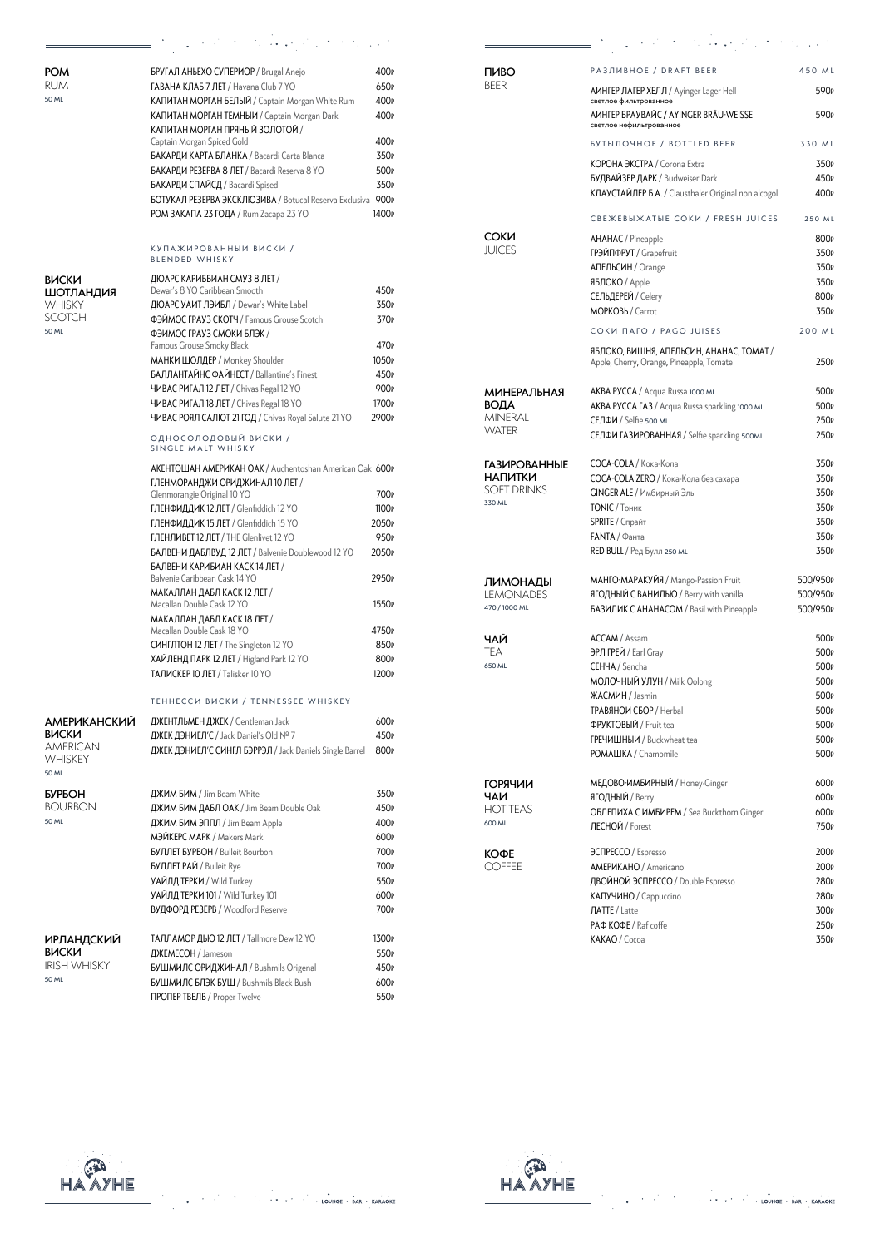| <b>POM</b>                                 | БРУГАЛ АНЬЕХО СУПЕРИОР / Brugal Anejo                                                          | 400P                                 |
|--------------------------------------------|------------------------------------------------------------------------------------------------|--------------------------------------|
| <b>RUM</b>                                 | ГАВАНА КЛАБ 7 ЛЕТ / Havana Club 7 YO                                                           | 650 <sub>P</sub>                     |
| 50 ML                                      | КАПИТАН МОРГАН БЕЛЫЙ / Captain Morgan White Rum                                                | 400P                                 |
|                                            | КАПИТАН МОРГАН ТЕМНЫЙ / Captain Morgan Dark                                                    | 400P                                 |
|                                            | КАПИТАН МОРГАН ПРЯНЫЙ ЗОЛОТОЙ /<br>Captain Morgan Spiced Gold                                  | 400 <sub>P</sub>                     |
|                                            | БАКАРДИ КАРТА БЛАНКА / Bacardi Carta Blanca                                                    | 350 <sub>P</sub>                     |
|                                            | БАКАРДИ РЕЗЕРВА 8 ЛЕТ / Bacardi Reserva 8 YO                                                   | 500 <sub>P</sub>                     |
|                                            |                                                                                                | 350 <sub>P</sub>                     |
|                                            | БАКАРДИ СПАЙСД / Bacardi Spised<br>БОТУКАЛ РЕЗЕРВА ЭКСКЛЮЗИВА / Botucal Reserva Exclusiva 900P |                                      |
|                                            | РОМ ЗАКАПА 23 ГОДА / Rum Zacapa 23 YO                                                          | 1400P                                |
|                                            | КУПАЖИРОВАННЫЙ ВИСКИ /<br><b>BLENDED WHISKY</b>                                                |                                      |
| <b>ВИСКИ</b>                               | ДЮАРС КАРИББИАН СМУЗ 8 ЛЕТ /                                                                   |                                      |
| <b>ШОТЛАНДИЯ</b>                           | Dewar's 8 YO Caribbean Smooth                                                                  | 450 <sub>P</sub>                     |
| <b>WHISKY</b>                              | ДЮАРС УАЙТ ЛЭЙБЛ / Dewar's White Label                                                         | 350 <sub>P</sub>                     |
| <b>SCOTCH</b>                              | ФЭЙМОС ГРАУЗ СКОТЧ / Famous Grouse Scotch                                                      | 370 <sub>P</sub>                     |
| 50 ML                                      | ФЭЙМОС ГРАУЗ СМОКИ БЛЭК /                                                                      |                                      |
|                                            | Famous Grouse Smoky Black                                                                      | 470 <sub>P</sub>                     |
|                                            | МАНКИ ШОЛДЕР / Monkey Shoulder                                                                 | 1050p                                |
|                                            | БАЛЛАНТАЙНС ФАЙНЕСТ / Ballantine's Finest                                                      | 450 <sub>P</sub>                     |
|                                            | ЧИВАС РИГАЛ 12 ЛЕТ / Chivas Regal 12 YO                                                        | 900 <sub>P</sub>                     |
|                                            | ЧИВАС РИГАЛ 18 ЛЕТ / Chivas Regal 18 YO                                                        | 1700 <sub>P</sub>                    |
|                                            | ЧИВАС РОЯЛ САЛЮТ 21 ГОД / Chivas Royal Salute 21 YO                                            | 2900 <sub>P</sub>                    |
|                                            | ОДНОСОЛОДОВЫЙ ВИСКИ /<br>SINGLE MALT WHISKY                                                    |                                      |
|                                            | AKEHTOШАН АМЕРИКАН ОАК / Auchentoshan American Oak 600P<br>ГЛЕНМОРАНДЖИ ОРИДЖИНАЛ 10 ЛЕТ /     | 700 <sub>P</sub>                     |
|                                            | Glenmorangie Original 10 YO                                                                    |                                      |
|                                            | ГЛЕНФИДДИК 12 ЛЕТ / Glenfiddich 12 YO                                                          | 1100 <sub>P</sub>                    |
|                                            | ГЛЕНФИДДИК 15 ЛЕТ / Glenfiddich 15 YO                                                          | 2050 <sub>P</sub>                    |
|                                            | ГЛЕНЛИВЕТ 12 ЛЕТ / THE Glenlivet 12 YO                                                         | 950 <sub>P</sub>                     |
|                                            | БАЛВЕНИ ДАБЛВУД 12 ЛЕТ / Balvenie Doublewood 12 YO<br>БАЛВЕНИ КАРИБИАН КАСК 14 ЛЕТ /           | 2050 <sub>P</sub>                    |
|                                            | Balvenie Caribbean Cask 14 YO                                                                  | 2950 <sub>P</sub>                    |
|                                            | МАКАЛЛАН ДАБЛ КАСК 12 ЛЕТ /<br>Macallan Double Cask 12 YO                                      | 1550 <sub>P</sub>                    |
|                                            | МАКАЛЛАН ДАБЛ КАСК 18 ЛЕТ /                                                                    |                                      |
|                                            | Macallan Double Cask 18 YO                                                                     | 4750 <sub>P</sub>                    |
|                                            | <b>СИНГЛТОН 12 ЛЕТ / The Singleton 12 YO</b>                                                   | 850 <sub>P</sub>                     |
|                                            | ХАЙЛЕНД ПАРК 12 ЛЕТ / Higland Park 12 YO                                                       | 800P                                 |
|                                            | ТАЛИСКЕР 10 ЛЕТ / Talisker 10 YO                                                               | 1200 <sub>P</sub>                    |
|                                            | <b>ТЕННЕССИ ВИСКИ / TENNESSEE WHISKEY</b>                                                      |                                      |
| <b>АМЕРИКАНСКИЙ</b>                        | ДЖЕНТЛЬМЕН ДЖЕК / Gentleman Jack                                                               | 600P                                 |
| <b>ВИСКИ</b>                               | ДЖЕК ДЭНИЕЛ'С / Jack Daniel's Old № 7                                                          | 450 <sub>P</sub>                     |
| <b>AMERICAN</b><br><b>WHISKEY</b><br>50 ML | ДЖЕК ДЭНИЕЛ'С СИНГЛ БЭРРЭЛ / Jack Daniels Single Barrel                                        | 800 <sub>P</sub>                     |
| <b>EYPEOH</b>                              | ДЖИМ БИМ / Jim Beam White                                                                      | 350 <sub>P</sub>                     |
| <b>BOURBON</b>                             | ДЖИМ БИМ ДАБЛ ОАК / Jim Beam Double Oak                                                        | 450 <sub>P</sub>                     |
| 50 ML                                      | ДЖИМ БИМ ЭППЛ / Jim Beam Apple                                                                 | 400P                                 |
|                                            | МЭЙКЕРС MAPK / Makers Mark                                                                     | 600 <sub>P</sub>                     |
|                                            | <b>БУЛЛЕТ БУРБОН / Bulleit Bourbon</b>                                                         | 700 <sub>P</sub>                     |
|                                            |                                                                                                |                                      |
|                                            | <b>БУЛЛЕТ РАЙ / Bulleit Rye</b>                                                                | 700 <sub>P</sub>                     |
|                                            | УАЙЛД ТЕРКИ / Wild Turkey                                                                      | 550 <sub>P</sub>                     |
|                                            | УАЙЛД ТЕРКИ 101 / Wild Turkey 101<br>ВУДФОРД РЕЗЕРВ / Woodford Reserve                         | 600 <sub>P</sub><br>700 <sub>P</sub> |

# $\mathcal{L}_{\mathcal{A}}$  , and the set of the complex of the set of the set of  $\mathcal{A}$

| <b>TIMBO</b>               | РАЗЛИВНОЕ / DRAFT BEER                                                               | 450 ML                               |
|----------------------------|--------------------------------------------------------------------------------------|--------------------------------------|
| <b>BEER</b>                | АИНГЕР ЛАГЕР ХЕЛЛ / Ayinger Lager Hell<br>светлое фильтрованное                      | 590 <sub>P</sub>                     |
|                            | АИНГЕР БРАУВАЙС / AYINGER BRÄU-WEISSE<br>светлое нефильтрованное                     | 590 <sub>P</sub>                     |
|                            | БУТЫЛОЧНОЕ / BOTTLED BEER                                                            | 330 ML                               |
|                            | KOPOHA <i><b>EXCTPA</b></i> / Corona Extra                                           | 350 <sub>P</sub>                     |
|                            | <b>БУДВАЙЗЕР ДАРК / Budweiser Dark</b>                                               | 450 <sub>P</sub>                     |
|                            | КЛАУСТАЙЛЕР Б.А. / Clausthaler Original non alcogol                                  | 400P                                 |
|                            | CBE ЖЕВЫ ЖАТЫЕ СОКИ / FRESH JUICES                                                   | 250 ML                               |
| <b>COKN</b>                | <b>AHAHAC</b> / Pineapple                                                            | 800P                                 |
| <b>JUICES</b>              | ГРЭЙПФРУТ / Grapefruit                                                               | 350 <sub>P</sub>                     |
|                            | АПЕЛЬСИН / Orange<br>ЯБЛОКО / Apple                                                  | 350 <sub>P</sub><br>350 <sub>P</sub> |
|                            | СЕЛЬДЕРЕЙ / Celery                                                                   | 800 <sub>P</sub>                     |
|                            | MOPKOBb / Carrot                                                                     | 350 <sub>P</sub>                     |
|                            | COKU NATO / PAGO JUISES                                                              | 200 ML                               |
|                            | ЯБЛОКО, ВИШНЯ, АПЕЛЬСИН, АНАНАС, ТОМАТ /<br>Apple, Cherry, Orange, Pineapple, Tomate | 250 <sub>P</sub>                     |
|                            |                                                                                      | 500 <sub>P</sub>                     |
| <b>МИНЕРАЛЬНАЯ</b><br>ВОДА | AKBA PYCCA / Acqua Russa 1000 ML<br>AKBA PYCCA TA3 / Acqua Russa sparkling 1000 ML   | 500 <sub>P</sub>                     |
| <b>MINERAL</b>             | СЕЛФИ / Selfie 500 ML                                                                | 250 <sub>P</sub>                     |
| <b>WATER</b>               | СЕЛФИ ГАЗИРОВАННАЯ / Selfie sparkling 500ML                                          | 250 <sub>P</sub>                     |
| <b>ГАЗИРОВАННЫЕ</b>        | СОСА-COLA / Кока-Кола                                                                | 350 <sub>P</sub>                     |
| <b>НАПИТКИ</b>             | <b>COCA-COLA ZERO</b> / Кока-Кола без сахара                                         | 350 <sub>P</sub>                     |
| <b>SOFT DRINKS</b>         | <b>GINGER ALE / Имбирный Эль</b>                                                     | 350 <sub>P</sub>                     |
| 330 ML                     | <b>TONIC / Тоник</b>                                                                 | 350 <sub>P</sub>                     |
|                            | SPRITE / Спрайт                                                                      | 350 <sub>P</sub>                     |
|                            | <b>FANTA / Фанта</b>                                                                 | 350 <sub>P</sub>                     |
|                            | RED BULL / Ред Булл 250 мг.                                                          | 350 <sub>P</sub>                     |
| <b>ЛИМОНАДЫ</b>            | <b>МАНГО-МАРАКУЙЯ / Mango-Passion Fruit</b>                                          | 500/950P                             |
| <b>LEMONADES</b>           | ЯГОДНЫЙ С ВАНИЛЬЮ / Berry with vanilla                                               | 500/950P                             |
| 470 / 1000 ML              | БАЗИЛИК С АНАНАСОМ / Basil with Pineapple                                            | 500/950P                             |
| ЧАЙ                        | <b>ACCAM</b> / Assam                                                                 | 500 <sub>P</sub>                     |
| TEA                        | ЭРЛ ГРЕЙ / Earl Gray                                                                 | 500 <sub>P</sub>                     |
| 650 ML                     | CEHYA / Sencha                                                                       | 500 <sub>P</sub>                     |
|                            | МОЛОЧНЫЙ УЛУН / Milk Oolong                                                          | 500 <sub>P</sub>                     |
|                            | <b>ЖАСМИН / Jasmin</b><br>ТРАВЯНОЙ СБОР / Herbal                                     | 500 <sub>P</sub>                     |
|                            | ФРУКТОВЫЙ / Fruit tea                                                                | 500 <sub>P</sub><br>500 <sub>P</sub> |
|                            | ГРЕЧИШНЫЙ / Buckwheat tea                                                            | 500 <sub>P</sub>                     |
|                            | <b>РОМАШКА / Chamomile</b>                                                           | 500 <sub>P</sub>                     |
| <b>ГОРЯЧИИ</b>             | МЕДОВО-ИМБИРНЫЙ / Honey-Ginger                                                       | 600p                                 |
| ЧАИ                        | ЯГОДНЫЙ / Berry                                                                      | 600 <sub>P</sub>                     |
| <b>HOT TEAS</b>            | ОБЛЕПИХА С ИМБИРЕМ / Sea Buckthorn Ginger                                            | 600 <sub>P</sub>                     |
| 600 ML                     | ЛЕСНОЙ / Forest                                                                      | 750 <sub>P</sub>                     |
| <b>KODE</b>                | <b>ЭСПРЕССО</b> / Espresso                                                           | 200 <sub>P</sub>                     |
| <b>COFFEE</b>              | AMEPUKAHO / Americano                                                                | 200 <sub>P</sub>                     |
|                            | ДВОЙНОЙ ЭСПРЕССО / Double Espresso                                                   | 280 <sub>P</sub>                     |
|                            | КАПУЧИНО / Cappuccino                                                                | 280 <sub>P</sub>                     |
|                            | ЛАТТЕ / Latte                                                                        | 300 <sub>P</sub>                     |
|                            | РАФ КОФЕ / Raf coffe                                                                 | 250 <sub>P</sub>                     |

| <b>ИРЛАНДСКИЙ</b>   | ТАЛЛАМОР ДЬЮ 12 ЛЕТ / Tallmore Dew 12 YO      | 1300 <sub>P</sub> |
|---------------------|-----------------------------------------------|-------------------|
| <b>ВИСКИ</b>        | ДЖЕМЕСОН / Jameson                            | 550 <sub>P</sub>  |
| <b>IRISH WHISKY</b> | БУШМИЛС ОРИДЖИНАЛ / Bushmils Origenal         | 450 <sub>P</sub>  |
| 50 ML               | <b>БУШМИЛС БЛЭК БУШ / Bushmils Black Bush</b> | 600 <sub>P</sub>  |
|                     | ПРОПЕР ТВЕЛВ / Proper Twelve                  | 550 <sub>P</sub>  |





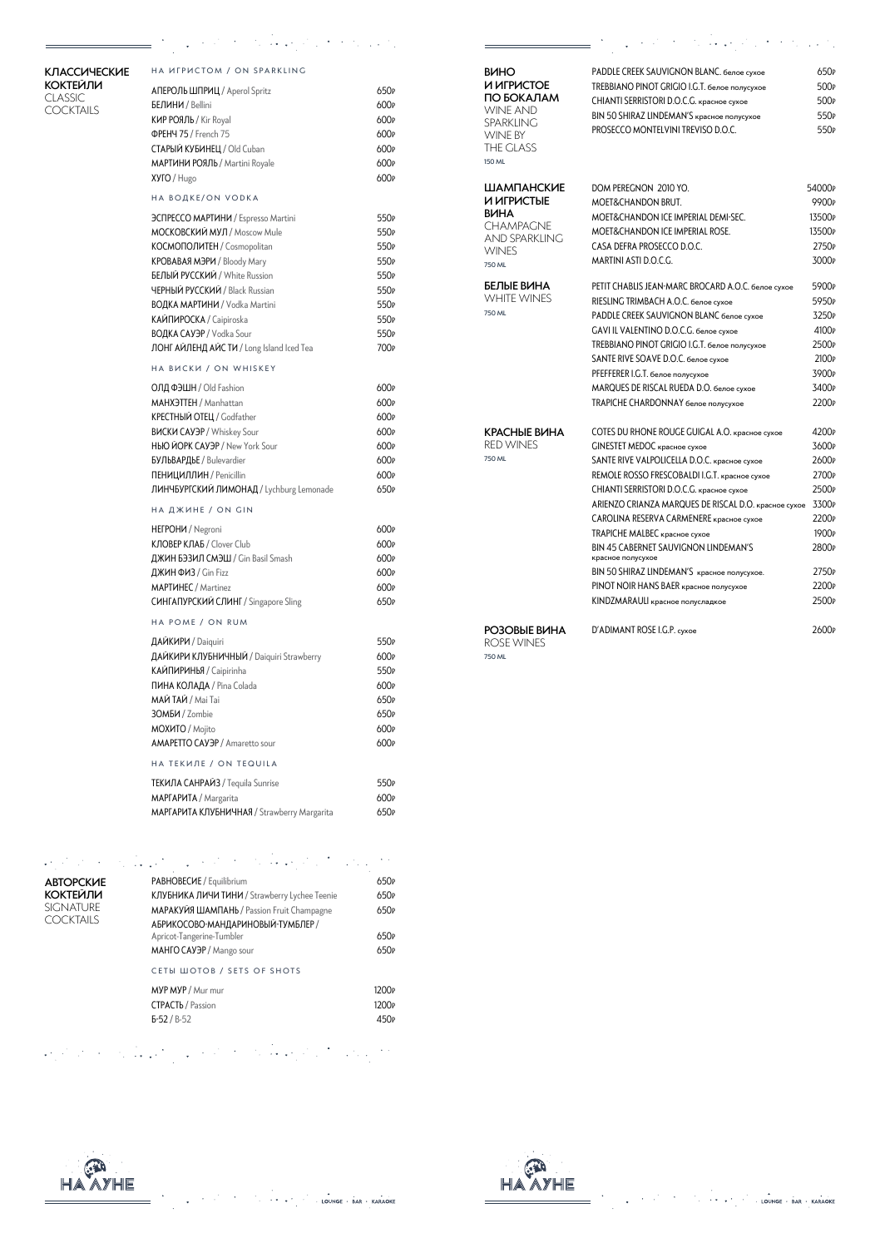| HA UIPUCTOM / ON SPARKLING                  |                  |
|---------------------------------------------|------------------|
| АПЕРОЛЬ ШПРИЦ / Aperol Spritz               | 650 <sub>P</sub> |
| <b>БЕЛИНИ / Bellini</b>                     | 600P             |
| КИР РОЯЛЬ / Kir Royal                       | 600P             |
| <b>ΦΡΕΗΥ 75 / French 75</b>                 | 600P             |
| СТАРЫЙ КУБИНЕЦ / Old Cuban                  | 600 <sub>P</sub> |
| МАРТИНИ РОЯЛЬ / Martini Royale              | 600 <sub>P</sub> |
| XYTO / Hugo                                 | 600P             |
| НА ВОДКЕ/ОН VODKA                           |                  |
| ЭСПРЕССО МАРТИНИ / Espresso Martini         | 550 <sub>P</sub> |
| <b>МОСКОВСКИЙ МУЛ / Moscow Mule</b>         | 550 <sub>P</sub> |
| КОСМОПОЛИТЕН / Cosmopolitan                 | 550 <sub>P</sub> |
| KPOBABAЯ МЭРИ / Bloody Mary                 | 550 <sub>P</sub> |
| <b>БЕЛЫЙ РУССКИЙ / White Russion</b>        | 550 <sub>P</sub> |
| ЧЕРНЫЙ РУССКИЙ / Black Russian              | 550 <sub>P</sub> |
| ВОДКА МАРТИНИ / Vodka Martini               | 550 <sub>P</sub> |
| КАЙПИРОСКА / Caipiroska                     | 550 <sub>P</sub> |
| <b>ВОДКА САУЭР / Vodka Sour</b>             | 550 <sub>P</sub> |
| ЛОНГ АЙЛЕНД АЙС ТИ / Long Island Iced Tea   | 700 <sub>P</sub> |
| <b>HA BUCKU / ON WHISKEY</b>                |                  |
| ОЛД ФЭШН / Old Fashion                      | 600P             |
| MAHXHTTEH / Manhattan                       | 600P             |
| <b>КРЕСТНЫЙ ОТЕЦ / Godfather</b>            | 600 <sub>P</sub> |
| <b>BUCKU CAYEP / Whiskey Sour</b>           | 600 <sub>P</sub> |
| <b>НЬЮ ЙОРК САУЭР / New York Sour</b>       | 600P             |
| <b>БУЛЬВАРДЬЕ / Bulevardier</b>             | 600P             |
| ПЕНИЦИЛЛИН / Penicillin                     | 600 <sub>P</sub> |
| ЛИНЧБУРГСКИЙ ЛИМОНАД / Lychburg Lemonade    | 650 <sub>P</sub> |
| <b>НА ДЖИНЕ / ON GIN</b>                    |                  |
| HEIPOHM / Negroni                           | 600 <sub>P</sub> |
| КЛОВЕР КЛАБ / Clover Club                   | 600p             |
| ДЖИН БЭЗИЛ СМЭШ / Gin Basil Smash           | 600 <sub>P</sub> |
| ДЖИН ФИЗ / Gin Fizz                         | 600 <sub>P</sub> |
| <b>MAPTUHEC</b> / Martinez                  | 600 <sub>P</sub> |
| <b>СИНГАПУРСКИЙ СЛИНГ / Singapore Sling</b> | 650 <sub>P</sub> |
| HA POME / ON RUM                            |                  |
| ДАЙКИРИ / Daiquiri                          | 550 <sub>P</sub> |
| ДАЙКИРИ КЛУБНИЧНЫЙ / Daiquiri Strawberry    | 600p             |
| КАЙПИРИНЬЯ / Caipirinha                     | 550 <sub>P</sub> |
| ПИНА КОЛАДА / Pina Colada                   | 600P             |
| <b>МАЙ ТАЙ /</b> Маі Таі                    | 650 <sub>P</sub> |
| 30MBM / Zombie                              | 650 <sub>P</sub> |
| MOXUTO / Mojito                             | 600P             |
| AMAPETTO CAY <sub>3</sub> P / Amaretto sour | 600p             |
| НА ТЕКИЛЕ / ON TEQUILA                      |                  |
| ТЕКИЛА САНРАЙЗ / Tequila Sunrise            | 550 <sub>P</sub> |
| MAPTAPUTA / Margarita                       | 600 <sub>P</sub> |
| МАРГАРИТА КЛУБНИЧНАЯ / Strawberry Margarita | 650 <sub>P</sub> |

### $\frac{1}{2}$  ,  $\frac{1}{2}$  ,  $\frac{1}{2}$  $\frac{1}{2} \left( \frac{1}{2} \right)^2$  $\label{eq:2} \mathcal{L}_{\text{max}} = \frac{1}{2} \sum_{i=1}^{N} \frac{1}{2} \sum_{i=1}^{N} \frac{1}{2} \sum_{i=1}^{N} \frac{1}{2} \sum_{i=1}^{N} \frac{1}{2} \sum_{i=1}^{N} \frac{1}{2} \sum_{i=1}^{N} \frac{1}{2} \sum_{i=1}^{N} \frac{1}{2} \sum_{i=1}^{N} \frac{1}{2} \sum_{i=1}^{N} \frac{1}{2} \sum_{i=1}^{N} \frac{1}{2} \sum_{i=1}^{N} \frac{1}{2} \sum_{i=1}$  $\mathcal{L}^{\mathcal{A}}$  ,  $\mathcal{L}$  $\mathbf{u}^{\dagger}$  and  $\mathbf{u}^{\dagger}$  and  $\mathbf{u}^{\dagger}$

### СЕТЫ ШОТОВ / SETS OF SHOTS

| <b>MYP MYP / Mur mur</b> | 1200P            |
|--------------------------|------------------|
| <b>CTPACTb</b> / Passion | 1200P            |
| $-52/8-52$               | 450 <sub>P</sub> |

 $\mathcal{L}_{\mathcal{A}}(\mathcal{A}^{\prime},\mathcal{A}^{\prime})=\mathcal{L}_{\mathcal{A}}(\mathcal{A}^{\prime},\mathcal{A}^{\prime})=\mathcal{L}_{\mathcal{A}}(\mathcal{A}^{\prime},\mathcal{A}^{\prime})=\mathcal{L}_{\mathcal{A}}(\mathcal{A}^{\prime},\mathcal{A}^{\prime})=\mathcal{L}_{\mathcal{A}}(\mathcal{A}^{\prime},\mathcal{A}^{\prime})$ 





HAYHE COUNCE BAR KARAOKE

## $\label{eq:2} \mathcal{L}_{\mathcal{L}}(\mathcal{L}_{\mathbf{z}}) = \mathcal{L}_{\mathcal{L}}(\mathcal{L}_{\mathcal{L}}) = \mathcal{L}_{\mathcal{L}}(\mathcal{L}_{\mathcal{L}}) = \mathcal{L}_{\mathcal{L}}(\mathcal{L}_{\mathcal{L}})$

| <b>КЛАССИЧЕСКИЕ</b> |  |
|---------------------|--|
| <b>КОКТЕЙЛИ</b>     |  |
| CLASSIC             |  |

COCKTAILS

РОЗОВЫЕ ВИНА

ROSE WINES 750 ML

 $\overline{\phantom{a}}$ 

## МАНГО САУЭР / Mango sour 650P

| <b>ABTOPCKIME</b> | PABHOBECHE / Equilibrium                      | 650 <sub>P</sub> |
|-------------------|-----------------------------------------------|------------------|
| <b>КОКТЕЙЛИ</b>   | КЛУБНИКА ЛИЧИ ТИНИ / Strawberry Lychee Teenie | 650 <sub>P</sub> |
| <b>SIGNATURE</b>  | МАРАКУЙЯ ШАМПАНЬ / Passion Fruit Champagne    | 650 <sub>P</sub> |
| <b>COCKTAILS</b>  | АБРИКОСОВО-МАНДАРИНОВЫЙ-ТУМБЛЕР /             |                  |
|                   | Apricot-Tangerine-Tumbler                     | 650 <sub>P</sub> |

| <b>BIAHO</b><br><b><i>UNTPUCTOE</i></b><br>ПО БОКАЛАМ<br><b>WINE AND</b><br>SPARKLING<br><b>WINE BY</b><br><b>THE GLASS</b><br><b>150 ML</b> | PADDLE CREEK SAUVIGNON BLANC. 6enoe cyxoe<br>TREBBIANO PINOT GRIGIO I.G.T. белое полусухое<br>CHIANTI SERRISTORI D.O.C.G. красное сухое<br>BIN 50 SHIRAZ LINDEMAN'S красное полусухое<br>PROSECCO MONTELVINI TREVISO D.O.C.                                                                                                                                                                                                                                                                                                                                                      | 650 <sub>P</sub><br>500 <sub>P</sub><br>500 <sub>P</sub><br>550 <sub>P</sub><br>550 <sub>P</sub>                                                                                                         |
|----------------------------------------------------------------------------------------------------------------------------------------------|----------------------------------------------------------------------------------------------------------------------------------------------------------------------------------------------------------------------------------------------------------------------------------------------------------------------------------------------------------------------------------------------------------------------------------------------------------------------------------------------------------------------------------------------------------------------------------|----------------------------------------------------------------------------------------------------------------------------------------------------------------------------------------------------------|
| <b>ШАМПАНСКИЕ</b><br>И ИГРИСТЫЕ<br><b>B</b> <sub>H</sub> A<br><b>CHAMPAGNE</b><br><b>AND SPARKLING</b><br><b>WINES</b><br>750 ML             | DOM PEREGNON 2010 YO.<br>MOET&CHANDON BRUT.<br>MOET&CHANDON ICE IMPERIAL DEMI-SEC.<br>MOET&CHANDON ICE IMPERIAL ROSE.<br>CASA DEFRA PROSECCO D.O.C.<br>MARTINI ASTI D.O.C.G.                                                                                                                                                                                                                                                                                                                                                                                                     | 54000 <sub>P</sub><br>9900 <sub>P</sub><br>13500P<br>13500p<br>2750 <sub>P</sub><br>3000 <sub>P</sub>                                                                                                    |
| БЕЛЫЕ ВИНА<br><b>WHITE WINES</b><br>750 ML                                                                                                   | PETIT CHABLIS JEAN-MARC BROCARD A.O.C. белое сухое<br>RIESLING TRIMBACH A.O.C. белое сухое<br>PADDLE CREEK SAUVIGNON BLANC 6enoe cyxoe<br>GAVI IL VALENTINO D.O.C.G. белое сухое<br>TREBBIANO PINOT GRIGIO I.G.T. белое полусухое<br>SANTE RIVE SOAVE D.O.C. белое сухое<br>PFEFFERER I.G.T. белое полусухое<br>MARQUES DE RISCAL RUEDA D.O. 6enoe cyxoe<br>TRAPICHE CHARDONNAY белое полусухое                                                                                                                                                                                  | 5900 <sub>P</sub><br>5950 <sub>P</sub><br>3250 <sub>P</sub><br>4100P<br>2500 <sub>P</sub><br>2100 <sub>P</sub><br>3900 <sub>P</sub><br>3400P<br>2200 <sub>P</sub>                                        |
| <b>KPACHLIE BIAHA</b><br><b>RED WINES</b><br>750 ML                                                                                          | COTES DU RHONE ROUGE GUIGAL A.O. красное сухое<br><b>GINESTET MEDOC красное сухое</b><br>SANTE RIVE VALPOLICELLA D.O.C. красное сухое<br>REMOLE ROSSO FRESCOBALDI I.G.T. красное сухое<br><b>CHIANTI SERRISTORI D.O.C.G. красное сухое</b><br>ARIENZO CRIANZA MARQUES DE RISCAL D.O. Kpachoe cyxoe<br><b>CAROLINA RESERVA CARMENERE красное сухое</b><br>TRAPICHE MALBEC красное сухое<br>BIN 45 CABERNET SAUVIGNON LINDEMAN'S<br>красное полусухое<br>BIN 50 SHIRAZ LINDEMAN'S красное полусухое.<br>PINOT NOIR HANS BAER красное полусухое<br>KINDZMARAULI красное полусладкое | 4200 <sub>P</sub><br>3600 <sub>P</sub><br>2600P<br>2700 <sub>P</sub><br>2500 <sub>P</sub><br>3300 <sub>P</sub><br>2200P<br>1900 <sub>P</sub><br>2800 <sub>P</sub><br>2750 <sub>P</sub><br>2200P<br>2500P |
| РОЗОВЫЕ ВИНА                                                                                                                                 | D'ADIMANT ROSE I.G.P. cyxoe                                                                                                                                                                                                                                                                                                                                                                                                                                                                                                                                                      | 2600P                                                                                                                                                                                                    |

 $\mathcal{L}(\mathbf{z}) = \mathcal{L}(\mathbf{z})$ 

 $\mathcal{E}_1 = \mathcal{E}_2$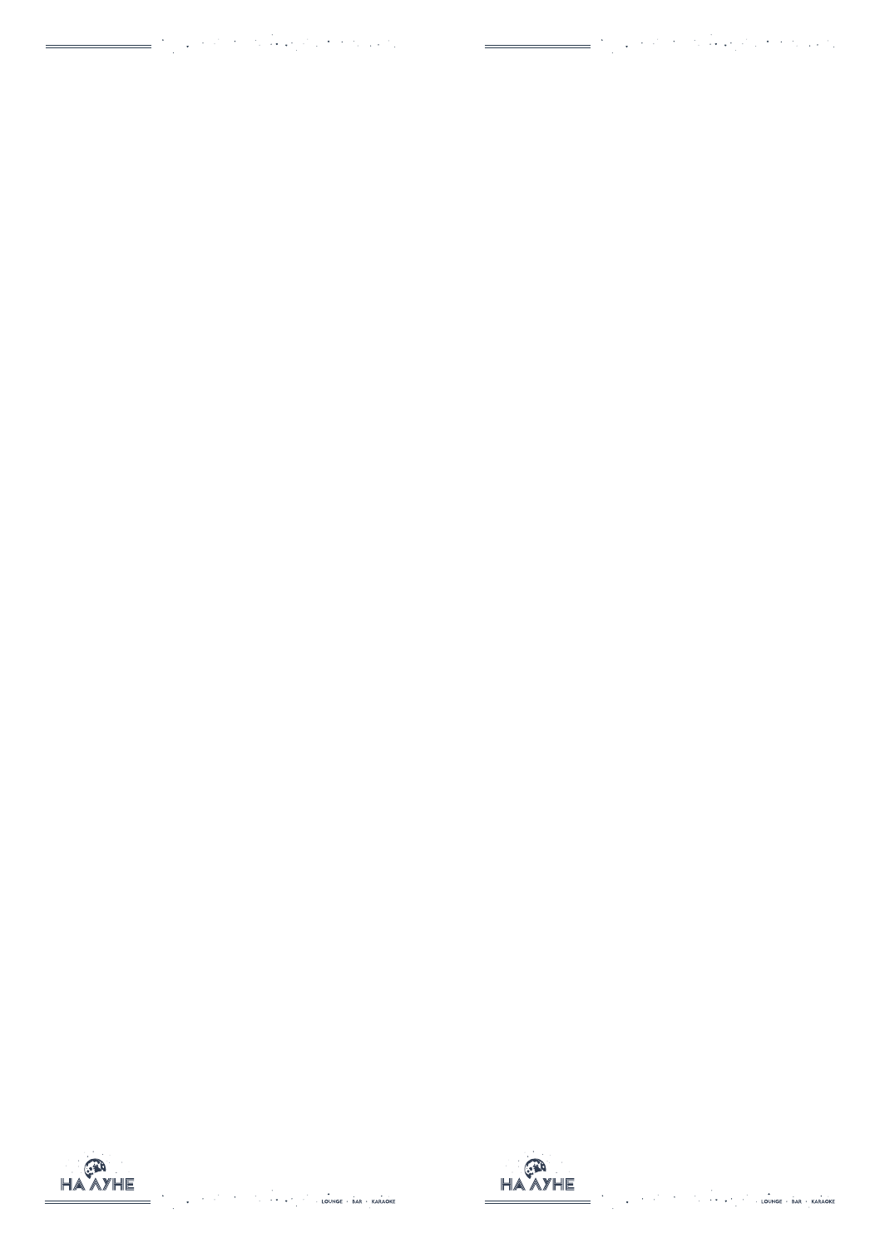



HANYHE COUNCE BAR KARAOKE